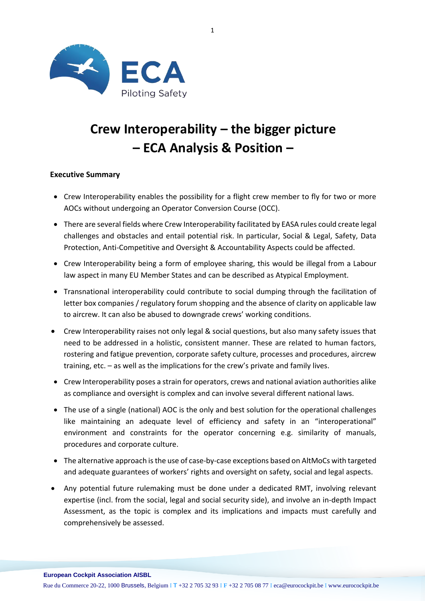

# **Crew Interoperability – the bigger picture – ECA Analysis & Position –**

## **Executive Summary**

- Crew Interoperability enables the possibility for a flight crew member to fly for two or more AOCs without undergoing an Operator Conversion Course (OCC).
- There are several fields where Crew Interoperability facilitated by EASA rules could create legal challenges and obstacles and entail potential risk. In particular, Social & Legal, Safety, Data Protection, Anti-Competitive and Oversight & Accountability Aspects could be affected.
- Crew Interoperability being a form of employee sharing, this would be illegal from a Labour law aspect in many EU Member States and can be described as Atypical Employment.
- Transnational interoperability could contribute to social dumping through the facilitation of letter box companies / regulatory forum shopping and the absence of clarity on applicable law to aircrew. It can also be abused to downgrade crews' working conditions.
- Crew Interoperability raises not only legal & social questions, but also many safety issues that need to be addressed in a holistic, consistent manner. These are related to human factors, rostering and fatigue prevention, corporate safety culture, processes and procedures, aircrew training, etc. – as well as the implications for the crew's private and family lives.
- Crew Interoperability poses a strain for operators, crews and national aviation authorities alike as compliance and oversight is complex and can involve several different national laws.
- The use of a single (national) AOC is the only and best solution for the operational challenges like maintaining an adequate level of efficiency and safety in an "interoperational" environment and constraints for the operator concerning e.g. similarity of manuals, procedures and corporate culture.
- The alternative approach is the use of case-by-case exceptions based on AltMoCs with targeted and adequate guarantees of workers' rights and oversight on safety, social and legal aspects.
- Any potential future rulemaking must be done under a dedicated RMT, involving relevant expertise (incl. from the social, legal and social security side), and involve an in-depth Impact Assessment, as the topic is complex and its implications and impacts must carefully and comprehensively be assessed.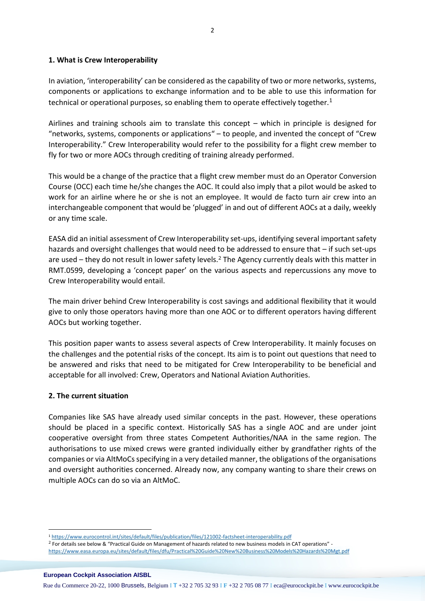## **1. What is Crew Interoperability**

In aviation, 'interoperability' can be considered as the capability of two or more networks, systems, components or applications to exchange information and to be able to use this information for technical or operational purposes, so enabling them to operate effectively together.<sup>1</sup>

Airlines and training schools aim to translate this concept – which in principle is designed for "networks, systems, components or applications" – to people, and invented the concept of "Crew Interoperability." Crew Interoperability would refer to the possibility for a flight crew member to fly for two or more AOCs through crediting of training already performed.

This would be a change of the practice that a flight crew member must do an Operator Conversion Course (OCC) each time he/she changes the AOC. It could also imply that a pilot would be asked to work for an airline where he or she is not an employee. It would de facto turn air crew into an interchangeable component that would be 'plugged' in and out of different AOCs at a daily, weekly or any time scale.

EASA did an initial assessment of Crew Interoperability set-ups, identifying several important safety hazards and oversight challenges that would need to be addressed to ensure that – if such set-ups are used – they do not result in lower safety levels.<sup>2</sup> The Agency currently deals with this matter in RMT.0599, developing a 'concept paper' on the various aspects and repercussions any move to Crew Interoperability would entail.

The main driver behind Crew Interoperability is cost savings and additional flexibility that it would give to only those operators having more than one AOC or to different operators having different AOCs but working together.

This position paper wants to assess several aspects of Crew Interoperability. It mainly focuses on the challenges and the potential risks of the concept. Its aim is to point out questions that need to be answered and risks that need to be mitigated for Crew Interoperability to be beneficial and acceptable for all involved: Crew, Operators and National Aviation Authorities.

## **2. The current situation**

Companies like SAS have already used similar concepts in the past. However, these operations should be placed in a specific context. Historically SAS has a single AOC and are under joint cooperative oversight from three states Competent Authorities/NAA in the same region. The authorisations to use mixed crews were granted individually either by grandfather rights of the companies or via AltMoCs specifying in a very detailed manner, the obligations of the organisations and oversight authorities concerned. Already now, any company wanting to share their crews on multiple AOCs can do so via an AltMoC.

l

<sup>1</sup> <https://www.eurocontrol.int/sites/default/files/publication/files/121002-factsheet-interoperability.pdf>

<sup>2</sup> For details see below & "Practical Guide on Management of hazards related to new business models in CAT operations" <https://www.easa.europa.eu/sites/default/files/dfu/Practical%20Guide%20New%20Business%20Models%20Hazards%20Mgt.pdf>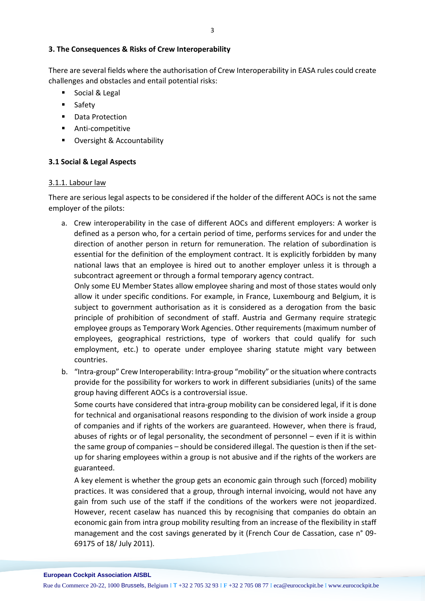## **3. The Consequences & Risks of Crew Interoperability**

There are several fields where the authorisation of Crew Interoperability in EASA rules could create challenges and obstacles and entail potential risks:

- Social & Legal
- Safety
- Data Protection
- Anti-competitive
- Oversight & Accountability

## **3.1 Social & Legal Aspects**

## 3.1.1. Labour law

There are serious legal aspects to be considered if the holder of the different AOCs is not the same employer of the pilots:

a. Crew interoperability in the case of different AOCs and different employers: A worker is defined as a person who, for a certain period of time, performs services for and under the direction of another person in return for remuneration. The relation of subordination is essential for the definition of the employment contract. It is explicitly forbidden by many national laws that an employee is hired out to another employer unless it is through a subcontract agreement or through a formal temporary agency contract.

Only some EU Member States allow employee sharing and most of those states would only allow it under specific conditions. For example, in France, Luxembourg and Belgium, it is subject to government authorisation as it is considered as a derogation from the basic principle of prohibition of secondment of staff. Austria and Germany require strategic employee groups as Temporary Work Agencies. Other requirements (maximum number of employees, geographical restrictions, type of workers that could qualify for such employment, etc.) to operate under employee sharing statute might vary between countries.

b. "Intra-group" Crew Interoperability: Intra-group "mobility" or the situation where contracts provide for the possibility for workers to work in different subsidiaries (units) of the same group having different AOCs is a controversial issue.

Some courts have considered that intra-group mobility can be considered legal, if it is done for technical and organisational reasons responding to the division of work inside a group of companies and if rights of the workers are guaranteed. However, when there is fraud, abuses of rights or of legal personality, the secondment of personnel – even if it is within the same group of companies – should be considered illegal. The question is then if the setup for sharing employees within a group is not abusive and if the rights of the workers are guaranteed.

A key element is whether the group gets an economic gain through such (forced) mobility practices. It was considered that a group, through internal invoicing, would not have any gain from such use of the staff if the conditions of the workers were not jeopardized. However, recent caselaw has nuanced this by recognising that companies do obtain an economic gain from intra group mobility resulting from an increase of the flexibility in staff management and the cost savings generated by it (French Cour de Cassation, case n° 09- 69175 of 18/ July 2011).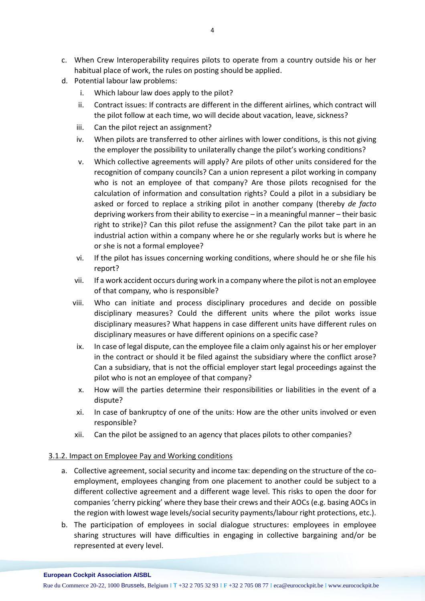- c. When Crew Interoperability requires pilots to operate from a country outside his or her habitual place of work, the rules on posting should be applied.
- d. Potential labour law problems:
	- i. Which labour law does apply to the pilot?
	- ii. Contract issues: If contracts are different in the different airlines, which contract will the pilot follow at each time, wo will decide about vacation, leave, sickness?
	- iii. Can the pilot reject an assignment?
	- iv. When pilots are transferred to other airlines with lower conditions, is this not giving the employer the possibility to unilaterally change the pilot's working conditions?
	- v. Which collective agreements will apply? Are pilots of other units considered for the recognition of company councils? Can a union represent a pilot working in company who is not an employee of that company? Are those pilots recognised for the calculation of information and consultation rights? Could a pilot in a subsidiary be asked or forced to replace a striking pilot in another company (thereby *de facto* depriving workers from their ability to exercise – in a meaningful manner – their basic right to strike)? Can this pilot refuse the assignment? Can the pilot take part in an industrial action within a company where he or she regularly works but is where he or she is not a formal employee?
	- vi. If the pilot has issues concerning working conditions, where should he or she file his report?
	- vii. If a work accident occurs during work in a company where the pilot is not an employee of that company, who is responsible?
	- viii. Who can initiate and process disciplinary procedures and decide on possible disciplinary measures? Could the different units where the pilot works issue disciplinary measures? What happens in case different units have different rules on disciplinary measures or have different opinions on a specific case?
	- ix. In case of legal dispute, can the employee file a claim only against his or her employer in the contract or should it be filed against the subsidiary where the conflict arose? Can a subsidiary, that is not the official employer start legal proceedings against the pilot who is not an employee of that company?
	- x. How will the parties determine their responsibilities or liabilities in the event of a dispute?
	- xi. In case of bankruptcy of one of the units: How are the other units involved or even responsible?
	- xii. Can the pilot be assigned to an agency that places pilots to other companies?

#### 3.1.2. Impact on Employee Pay and Working conditions

- a. Collective agreement, social security and income tax: depending on the structure of the coemployment, employees changing from one placement to another could be subject to a different collective agreement and a different wage level. This risks to open the door for companies 'cherry picking' where they base their crews and their AOCs (e.g. basing AOCs in the region with lowest wage levels/social security payments/labour right protections, etc.).
- b. The participation of employees in social dialogue structures: employees in employee sharing structures will have difficulties in engaging in collective bargaining and/or be represented at every level.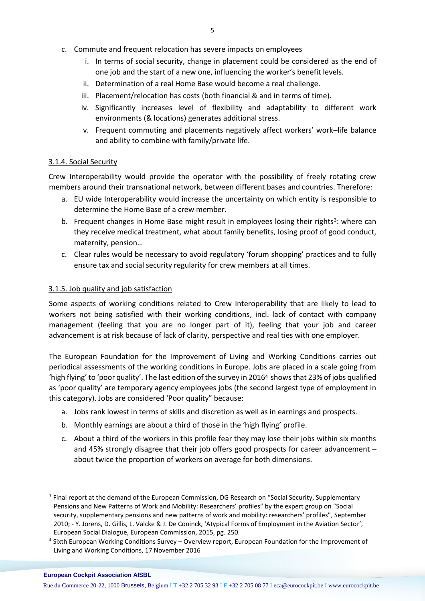- c. Commute and frequent relocation has severe impacts on employees
	- i. In terms of social security, change in placement could be considered as the end of one job and the start of a new one, influencing the worker's benefit levels.
	- ii. Determination of a real Home Base would become a real challenge.
	- iii. Placement/relocation has costs (both financial & and in terms of time).
	- iv. Significantly increases level of flexibility and adaptability to different work environments (& locations) generates additional stress.
	- v. Frequent commuting and placements negatively affect workers' work–life balance and ability to combine with family/private life.

#### 3.1.4. Social Security

Crew Interoperability would provide the operator with the possibility of freely rotating crew members around their transnational network, between different bases and countries. Therefore:

- a. EU wide Interoperability would increase the uncertainty on which entity is responsible to determine the Home Base of a crew member.
- b. Frequent changes in Home Base might result in employees losing their rights<sup>3</sup>: where can they receive medical treatment, what about family benefits, losing proof of good conduct, maternity, pension…
- c. Clear rules would be necessary to avoid regulatory 'forum shopping' practices and to fully ensure tax and social security regularity for crew members at all times.

#### 3.1.5. Job quality and job satisfaction

Some aspects of working conditions related to Crew Interoperability that are likely to lead to workers not being satisfied with their working conditions, incl. lack of contact with company management (feeling that you are no longer part of it), feeling that your job and career advancement is at risk because of lack of clarity, perspective and real ties with one employer.

The European Foundation for the Improvement of Living and Working Conditions carries out periodical assessments of the working conditions in Europe. Jobs are placed in a scale going from 'high flying' to 'poor quality'. The last edition of the survey in 2016<sup>4</sup> showsthat 23% of jobs qualified as 'poor quality' are temporary agency employees jobs (the second largest type of employment in this category). Jobs are considered 'Poor quality" because:

- a. Jobs rank lowest in terms of skills and discretion as well as in earnings and prospects.
- b. Monthly earnings are about a third of those in the 'high flying' profile.
- c. About a third of the workers in this profile fear they may lose their jobs within six months and 45% strongly disagree that their job offers good prospects for career advancement – about twice the proportion of workers on average for both dimensions.

## **European Cockpit Association AISBL**

 $\overline{a}$ 

<sup>&</sup>lt;sup>3</sup> Final report at the demand of the European Commission, DG Research on "Social Security, Supplementary Pensions and New Patterns of Work and Mobility: Researchers' profiles" by the expert group on "Social security, supplementary pensions and new patterns of work and mobility: researchers' profiles", September 2010; - Y. Jorens, D. Gillis, L. Valcke & J. De Coninck, 'Atypical Forms of Employment in the Aviation Sector', European Social Dialogue, European Commission, 2015, pg. 250.

<sup>&</sup>lt;sup>4</sup> Sixth European Working Conditions Survey – Overview report, European Foundation for the Improvement of Living and Working Conditions, 17 November 2016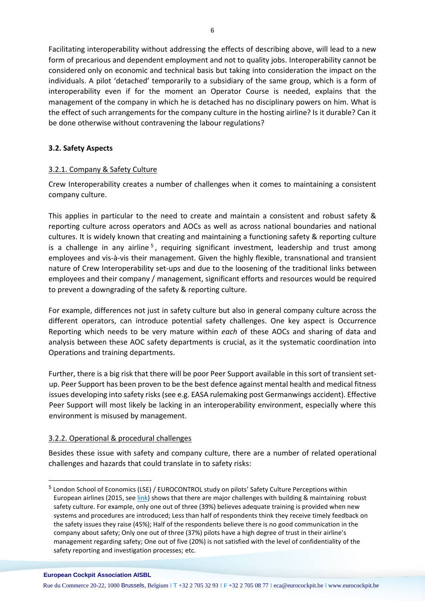Facilitating interoperability without addressing the effects of describing above, will lead to a new form of precarious and dependent employment and not to quality jobs. Interoperability cannot be considered only on economic and technical basis but taking into consideration the impact on the individuals. A pilot 'detached' temporarily to a subsidiary of the same group, which is a form of interoperability even if for the moment an Operator Course is needed, explains that the management of the company in which he is detached has no disciplinary powers on him. What is the effect of such arrangements for the company culture in the hosting airline? Is it durable? Can it be done otherwise without contravening the labour regulations?

## **3.2. Safety Aspects**

# 3.2.1. Company & Safety Culture

Crew Interoperability creates a number of challenges when it comes to maintaining a consistent company culture.

This applies in particular to the need to create and maintain a consistent and robust safety & reporting culture across operators and AOCs as well as across national boundaries and national cultures. It is widely known that creating and maintaining a functioning safety & reporting culture is a challenge in any airline<sup>5</sup>, requiring significant investment, leadership and trust among employees and vis-à-vis their management. Given the highly flexible, transnational and transient nature of Crew Interoperability set-ups and due to the loosening of the traditional links between employees and their company / management, significant efforts and resources would be required to prevent a downgrading of the safety & reporting culture.

For example, differences not just in safety culture but also in general company culture across the different operators, can introduce potential safety challenges. One key aspect is Occurrence Reporting which needs to be very mature within *each* of these AOCs and sharing of data and analysis between these AOC safety departments is crucial, as it the systematic coordination into Operations and training departments.

Further, there is a big risk that there will be poor Peer Support available in this sort of transient setup. Peer Support has been proven to be the best defence against mental health and medical fitness issues developing into safety risks (see e.g. EASA rulemaking post Germanwings accident). Effective Peer Support will most likely be lacking in an interoperability environment, especially where this environment is misused by management.

## 3.2.2. Operational & procedural challenges

Besides these issue with safety and company culture, there are a number of related operational challenges and hazards that could translate in to safety risks:

 $\overline{a}$ 

6

<sup>&</sup>lt;sup>5</sup> London School of Economics (LSE) / EUROCONTROL study on pilots' Safety Culture Perceptions within European airlines (2015, see [link\)](https://www.eurocockpit.be/sites/default/files/2017-04/European%20pilots%E2%80%99%20perceptions%20of%20safety%20culture%20in%20aviation%2C%20LSE%202016_0.pdf) shows that there are major challenges with building & maintaining robust safety culture. For example, only one out of three (39%) believes adequate training is provided when new systems and procedures are introduced; Less than half of respondents think they receive timely feedback on the safety issues they raise (45%); Half of the respondents believe there is no good communication in the company about safety; Only one out of three (37%) pilots have a high degree of trust in their airline's management regarding safety; One out of five (20%) is not satisfied with the level of confidentiality of the safety reporting and investigation processes; etc.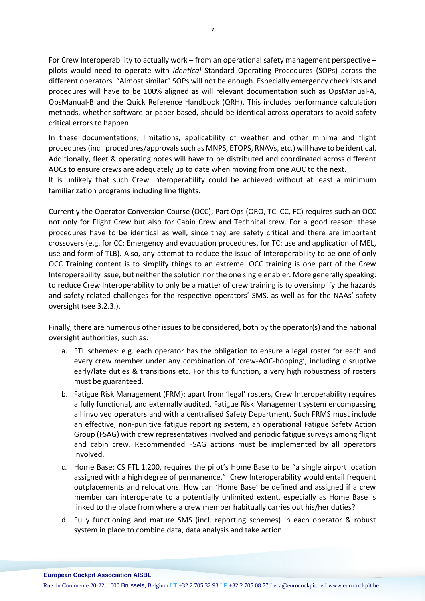For Crew Interoperability to actually work – from an operational safety management perspective – pilots would need to operate with *identical* Standard Operating Procedures (SOPs) across the different operators. "Almost similar" SOPs will not be enough. Especially emergency checklists and procedures will have to be 100% aligned as will relevant documentation such as OpsManual-A, OpsManual-B and the Quick Reference Handbook (QRH). This includes performance calculation methods, whether software or paper based, should be identical across operators to avoid safety critical errors to happen.

In these documentations, limitations, applicability of weather and other minima and flight procedures (incl. procedures/approvals such as MNPS, ETOPS, RNAVs, etc.) will have to be identical. Additionally, fleet & operating notes will have to be distributed and coordinated across different AOCs to ensure crews are adequately up to date when moving from one AOC to the next.

It is unlikely that such Crew Interoperability could be achieved without at least a minimum familiarization programs including line flights.

Currently the Operator Conversion Course (OCC), Part Ops (ORO, TC CC, FC) requires such an OCC not only for Flight Crew but also for Cabin Crew and Technical crew. For a good reason: these procedures have to be identical as well, since they are safety critical and there are important crossovers (e.g. for CC: Emergency and evacuation procedures, for TC: use and application of MEL, use and form of TLB). Also, any attempt to reduce the issue of Interoperability to be one of only OCC Training content is to simplify things to an extreme. OCC training is one part of the Crew Interoperability issue, but neither the solution nor the one single enabler. More generally speaking: to reduce Crew Interoperability to only be a matter of crew training is to oversimplify the hazards and safety related challenges for the respective operators' SMS, as well as for the NAAs' safety oversight (see 3.2.3.).

Finally, there are numerous other issues to be considered, both by the operator(s) and the national oversight authorities, such as:

- a. FTL schemes: e.g. each operator has the obligation to ensure a legal roster for each and every crew member under any combination of 'crew-AOC-hopping', including disruptive early/late duties & transitions etc. For this to function, a very high robustness of rosters must be guaranteed.
- b. Fatigue Risk Management (FRM): apart from 'legal' rosters, Crew Interoperability requires a fully functional, and externally audited, Fatigue Risk Management system encompassing all involved operators and with a centralised Safety Department. Such FRMS must include an effective, non-punitive fatigue reporting system, an operational Fatigue Safety Action Group (FSAG) with crew representatives involved and periodic fatigue surveys among flight and cabin crew. Recommended FSAG actions must be implemented by all operators involved.
- c. Home Base: CS FTL.1.200, requires the pilot's Home Base to be "a single airport location assigned with a high degree of permanence." Crew Interoperability would entail frequent outplacements and relocations. How can 'Home Base' be defined and assigned if a crew member can interoperate to a potentially unlimited extent, especially as Home Base is linked to the place from where a crew member habitually carries out his/her duties?
- d. Fully functioning and mature SMS (incl. reporting schemes) in each operator & robust system in place to combine data, data analysis and take action.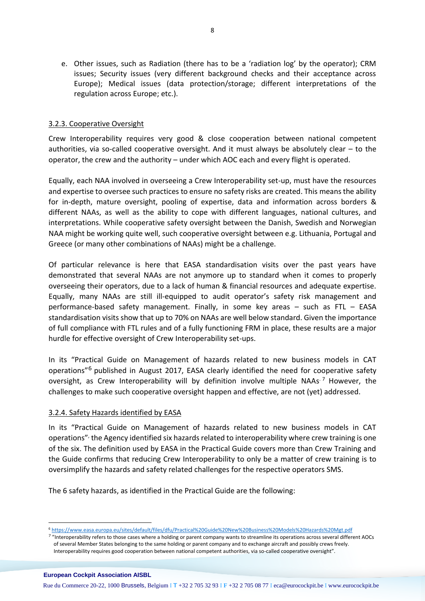e. Other issues, such as Radiation (there has to be a 'radiation log' by the operator); CRM issues; Security issues (very different background checks and their acceptance across Europe); Medical issues (data protection/storage; different interpretations of the regulation across Europe; etc.).

## 3.2.3. Cooperative Oversight

Crew Interoperability requires very good & close cooperation between national competent authorities, via so-called cooperative oversight. And it must always be absolutely clear – to the operator, the crew and the authority – under which AOC each and every flight is operated.

Equally, each NAA involved in overseeing a Crew Interoperability set-up, must have the resources and expertise to oversee such practices to ensure no safety risks are created. This means the ability for in-depth, mature oversight, pooling of expertise, data and information across borders & different NAAs, as well as the ability to cope with different languages, national cultures, and interpretations. While cooperative safety oversight between the Danish, Swedish and Norwegian NAA might be working quite well, such cooperative oversight between e.g. Lithuania, Portugal and Greece (or many other combinations of NAAs) might be a challenge.

Of particular relevance is here that EASA standardisation visits over the past years have demonstrated that several NAAs are not anymore up to standard when it comes to properly overseeing their operators, due to a lack of human & financial resources and adequate expertise. Equally, many NAAs are still ill-equipped to audit operator's safety risk management and performance-based safety management. Finally, in some key areas – such as FTL – EASA standardisation visits show that up to 70% on NAAs are well below standard. Given the importance of full compliance with FTL rules and of a fully functioning FRM in place, these results are a major hurdle for effective oversight of Crew Interoperability set-ups.

In its "Practical Guide on Management of hazards related to new business models in CAT operations<sup>"6</sup> published in August 2017, EASA clearly identified the need for cooperative safety oversight, as Crew Interoperability will by definition involve multiple NAAs<sup>-7</sup> However, the challenges to make such cooperative oversight happen and effective, are not (yet) addressed.

## 3.2.4. Safety Hazards identified by EASA

In its "Practical Guide on Management of hazards related to new business models in CAT operations"<sup>,</sup> the Agency identified six hazards related to interoperability where crew training is one of the six. The definition used by EASA in the Practical Guide covers more than Crew Training and the Guide confirms that reducing Crew Interoperability to only be a matter of crew training is to oversimplify the hazards and safety related challenges for the respective operators SMS.

The 6 safety hazards, as identified in the Practical Guide are the following:

<sup>7</sup> "Interoperability refers to those cases where a holding or parent company wants to streamline its operations across several different AOCs of several Member States belonging to the same holding or parent company and to exchange aircraft and possibly crews freely. Interoperability requires good cooperation between national competent authorities, via so-called cooperative oversight".

**European Cockpit Association AISBL**

l

<sup>6</sup> <https://www.easa.europa.eu/sites/default/files/dfu/Practical%20Guide%20New%20Business%20Models%20Hazards%20Mgt.pdf>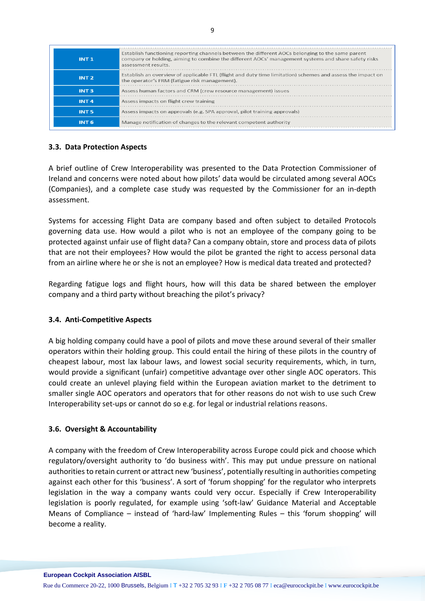| INT 1            | Establish functioning reporting channels between the different AOCs belonging to the same parent<br>company or holding, aiming to combine the different AOCs' management systems and share safety risks<br>assessment results. |
|------------------|--------------------------------------------------------------------------------------------------------------------------------------------------------------------------------------------------------------------------------|
| INT <sub>2</sub> | Establish an overview of applicable FTL (flight and duty time limitation) schemes and assess the impact on<br>the operator's FRM (fatigue risk management).                                                                    |
| INT <sub>3</sub> | Assess human factors and CRM (crew resource management) issues                                                                                                                                                                 |
| INT <sub>4</sub> | Assess impacts on flight crew training                                                                                                                                                                                         |
| <b>INT 5</b>     | Assess impacts on approvals (e.g. SPA approval, pilot training approvals)                                                                                                                                                      |
| INT 6            | Manage notification of changes to the relevant competent authority                                                                                                                                                             |

## **3.3. Data Protection Aspects**

A brief outline of Crew Interoperability was presented to the Data Protection Commissioner of Ireland and concerns were noted about how pilots' data would be circulated among several AOCs (Companies), and a complete case study was requested by the Commissioner for an in-depth assessment.

Systems for accessing Flight Data are company based and often subject to detailed Protocols governing data use. How would a pilot who is not an employee of the company going to be protected against unfair use of flight data? Can a company obtain, store and process data of pilots that are not their employees? How would the pilot be granted the right to access personal data from an airline where he or she is not an employee? How is medical data treated and protected?

Regarding fatigue logs and flight hours, how will this data be shared between the employer company and a third party without breaching the pilot's privacy?

## **3.4. Anti-Competitive Aspects**

A big holding company could have a pool of pilots and move these around several of their smaller operators within their holding group. This could entail the hiring of these pilots in the country of cheapest labour, most lax labour laws, and lowest social security requirements, which, in turn, would provide a significant (unfair) competitive advantage over other single AOC operators. This could create an unlevel playing field within the European aviation market to the detriment to smaller single AOC operators and operators that for other reasons do not wish to use such Crew Interoperability set-ups or cannot do so e.g. for legal or industrial relations reasons.

## **3.6. Oversight & Accountability**

A company with the freedom of Crew Interoperability across Europe could pick and choose which regulatory/oversight authority to 'do business with'. This may put undue pressure on national authorities to retain current or attract new 'business', potentially resulting in authorities competing against each other for this 'business'. A sort of 'forum shopping' for the regulator who interprets legislation in the way a company wants could very occur. Especially if Crew Interoperability legislation is poorly regulated, for example using 'soft-law' Guidance Material and Acceptable Means of Compliance – instead of 'hard-law' Implementing Rules – this 'forum shopping' will become a reality.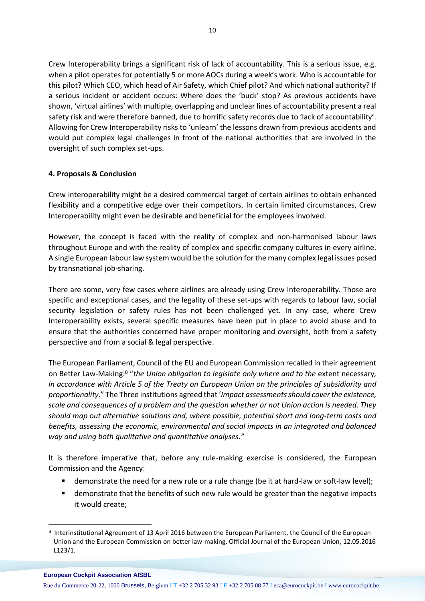Crew Interoperability brings a significant risk of lack of accountability. This is a serious issue, e.g. when a pilot operates for potentially 5 or more AOCs during a week's work. Who is accountable for this pilot? Which CEO, which head of Air Safety, which Chief pilot? And which national authority? If a serious incident or accident occurs: Where does the 'buck' stop? As previous accidents have shown, 'virtual airlines' with multiple, overlapping and unclear lines of accountability present a real safety risk and were therefore banned, due to horrific safety records due to 'lack of accountability'. Allowing for Crew Interoperability risks to 'unlearn' the lessons drawn from previous accidents and would put complex legal challenges in front of the national authorities that are involved in the oversight of such complex set-ups.

## **4. Proposals & Conclusion**

Crew interoperability might be a desired commercial target of certain airlines to obtain enhanced flexibility and a competitive edge over their competitors. In certain limited circumstances, Crew Interoperability might even be desirable and beneficial for the employees involved.

However, the concept is faced with the reality of complex and non-harmonised labour laws throughout Europe and with the reality of complex and specific company cultures in every airline. A single European labour law system would be the solution for the many complex legal issues posed by transnational job-sharing.

There are some, very few cases where airlines are already using Crew Interoperability. Those are specific and exceptional cases, and the legality of these set-ups with regards to labour law, social security legislation or safety rules has not been challenged yet. In any case, where Crew Interoperability exists, several specific measures have been put in place to avoid abuse and to ensure that the authorities concerned have proper monitoring and oversight, both from a safety perspective and from a social & legal perspective.

The European Parliament, Council of the EU and European Commission recalled in their agreement on Better Law-Making: <sup>8</sup> "*the Union obligation to legislate only where and to the* extent necessary*, in accordance with Article 5 of the Treaty on European Union on the principles of subsidiarity and proportionality*." The Three institutions agreed that '*Impact assessments should cover the existence, scale and consequences of a problem and the question whether or not Union action is needed. They should map out alternative solutions and, where possible, potential short and long-term costs and benefits, assessing the economic, environmental and social impacts in an integrated and balanced way and using both qualitative and quantitative analyses."*

It is therefore imperative that, before any rule-making exercise is considered, the European Commission and the Agency:

- demonstrate the need for a new rule or a rule change (be it at hard-law or soft-law level);
- demonstrate that the benefits of such new rule would be greater than the negative impacts it would create;

#### **European Cockpit Association AISBL**

l

<sup>8</sup> Interinstitutional Agreement of 13 April 2016 between the European Parliament, the Council of the European Union and the European Commission on better law-making, Official Journal of the European Union, 12.05.2016 L123/1.